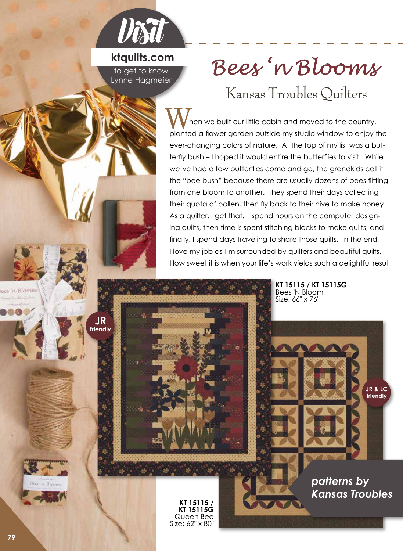

## **ktquilts.com** to get to know Lynne Hagmeier

**JR friendly** Beez 'n Blooms

Kansas Troubles Quilters

 hen we built our little cabin and moved to the country, I When we built our little cabin and moved to the country, I<br>planted a flower garden outside my studio window to enjoy the ever-changing colors of nature. At the top of my list was a butterfly bush – I hoped it would entire the butterflies to visit. While we've had a few butterflies come and go, the grandkids call it the "bee bush" because there are usually dozens of bees flitting from one bloom to another. They spend their days collecting their quota of pollen, then fly back to their hive to make honey. As a quilter, I get that. I spend hours on the computer designing quilts, then time is spent stitching blocks to make quilts, and finally, I spend days traveling to share those quilts. In the end, I love my job as I'm surrounded by quilters and beautiful quilts. How sweet it is when your life's work yields such a delightful result

> **KT 15115 / KT 15115G**  Bees 'N Bloom Size: 66" x 76"

> > **JR & LC friendly**

*patterns by*

*Kansas Troubles*

**KT 15115 / KT 15115G**  Queen Bee Size: 62" x 80"

leas 'n Blooins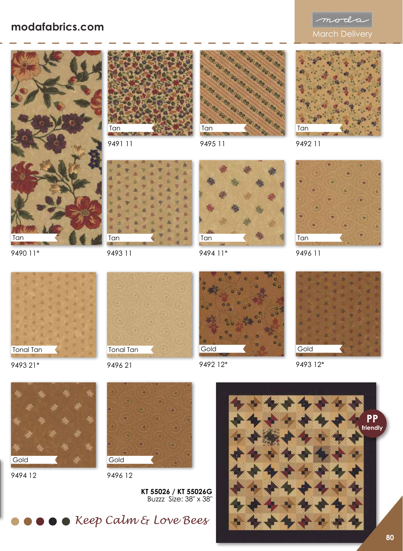## modafabrics.com<br>
March Delivery





9491 11

9493 11

Tan



9495 11

ż A ň s ds.

9494 11\*

Tan







9490 11\*



9493 21\*



9496 21



9492 12\*





9493 12\*



9494 12



9496 12

**KT 55026 / KT 55026G** Buzzz Size: 38" x 38"



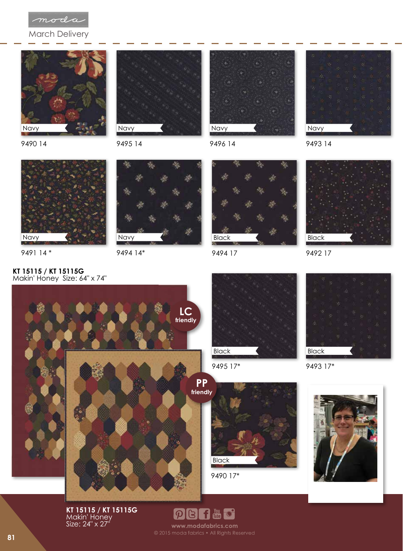

March Delivery









9495 14



9496 14



9493 14



9491 14 \*

**KT 15115 / KT 15115G**



9494 14\*



9494 17



9492 17





9495 17\*



9493 17\*



**KT 15115 / KT 15115G** Makin' Honey Size: 24" x 27"



www.modafabrics.com